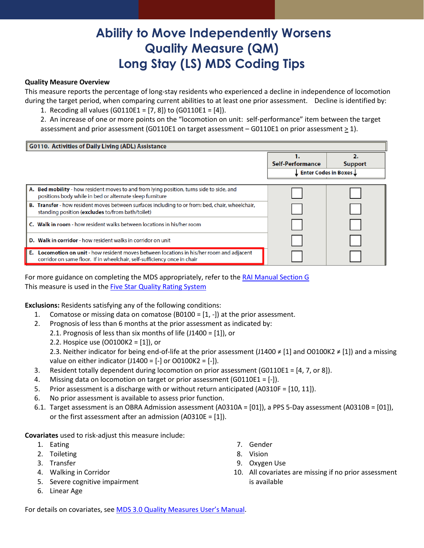# **Ability to Move Independently Worsens Quality Measure (QM) Long Stay (LS) MDS Coding Tips**

#### **Quality Measure Overview**

This measure reports the percentage of long-stay residents who experienced a decline in independence of locomotion during the target period, when comparing current abilities to at least one prior assessment. Decline is identified by:

1. Recoding all values (G0110E1 = [7, 8]) to (G0110E1 = [4]).

2. An increase of one or more points on the "locomotion on unit: self-performance" item between the target assessment and prior assessment (G0110E1 on target assessment – G0110E1 on prior assessment  $\geq$  1).

| <b>G0110. Activities of Daily Living (ADL) Assistance</b>                                                                                                                    |                        |                |
|------------------------------------------------------------------------------------------------------------------------------------------------------------------------------|------------------------|----------------|
|                                                                                                                                                                              |                        |                |
|                                                                                                                                                                              | Self-Performance       | <b>Support</b> |
|                                                                                                                                                                              | Enter Codes in Boxes L |                |
|                                                                                                                                                                              |                        |                |
| A. Bed mobility - how resident moves to and from lying position, turns side to side, and<br>positions body while in bed or alternate sleep furniture                         |                        |                |
| B. Transfer - how resident moves between surfaces including to or from: bed, chair, wheelchair,<br>standing position (excludes to/from bath/toilet)                          |                        |                |
| Walk in room - how resident walks between locations in his/her room                                                                                                          |                        |                |
| Walk in corridor - how resident walks in corridor on unit<br>D.                                                                                                              |                        |                |
| <b>E.</b> Locomotion on unit - how resident moves between locations in his/her room and adjacent<br>corridor on same floor. If in wheelchair, self-sufficiency once in chair |                        |                |

For more guidance on completing the MDS appropriately, refer to the [RAI Manual Section](https://www.cms.gov/Medicare/Quality-Initiatives-Patient-Assessment-Instruments/NursingHomeQualityInits/MDS30RAIManual) G This measure is used in the [Five Star Quality Rating System](https://www.cms.gov/Medicare/Provider-Enrollment-and-Certification/CertificationandComplianc/FSQRS) 

**Exclusions:** Residents satisfying any of the following conditions:

- 1. Comatose or missing data on comatose (B0100 = [1, -]) at the prior assessment.
- 2. Prognosis of less than 6 months at the prior assessment as indicated by:
	- 2.1. Prognosis of less than six months of life (J1400 = [1]), or
	- 2.2. Hospice use (O0100K2 = [1]), or

2.3. Neither indicator for being end-of-life at the prior assessment (J1400 ≠ [1] and O0100K2 ≠ [1]) and a missing value on either indicator (J1400 =  $[-]$  or O0100K2 =  $[-]$ ).

- 3. Resident totally dependent during locomotion on prior assessment (G0110E1 = [4, 7, or 8]).
- 4. Missing data on locomotion on target or prior assessment (G0110E1 = [-]).
- 5. Prior assessment is a discharge with or without return anticipated (A0310F = [10, 11]).
- 6. No prior assessment is available to assess prior function.
- 6.1. Target assessment is an OBRA Admission assessment (A0310A = [01]), a PPS 5-Day assessment (A0310B = [01]), or the first assessment after an admission (A0310E = [1]).

### **Covariates** used to risk-adjust this measure include:

- 1. Eating
- 2. Toileting
- 3. Transfer
- 4. Walking in Corridor
- 5. Severe cognitive impairment
- 6. Linear Age
- 7. Gender
- 8. Vision
- 9. Oxygen Use
- 10. All covariates are missing if no prior assessment is available

For details on covariates, see [MDS 3.0 Quality Measures User's Manual.](https://www.cms.gov/Medicare/Quality-Initiatives-Patient-Assessment-Instruments/NursingHomeQualityInits/NHQIQualityMeasures.html)